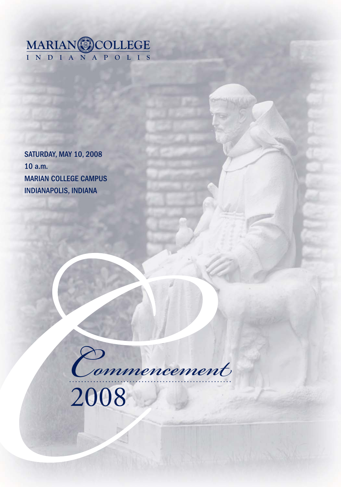

SATURDAY, MAY 10, 2008 10 a.m. MARIAN COLLEGE CAMPUS INDIANAPOLIS, INDIANA

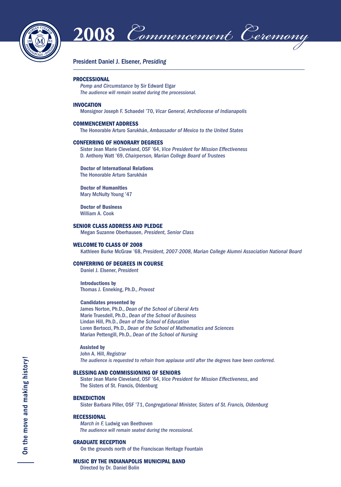

 $2\overline{008}$  *Commencement Ceremony* 

#### President Daniel J. Elsener, *Presiding*

#### **PROCESSIONAL**

*Pomp and Circumstance* by Sir Edward Elgar *The audience will remain seated during the processional.*

#### **INVOCATION**

Monsignor Joseph F. Schaedel '70, *Vicar General, Archdiocese of Indianapolis*

#### **COMMENCEMENT ADDRESS**

The Honorable Arturo Sarukhán, *Ambassador of Mexico to the United States*

#### **CONFERRING OF HONORARY DEGREES**

 Sister Jean Marie Cleveland, OSF '64, *Vice President for Mission Effectiveness* D. Anthony Watt '69, *Chairperson, Marian College Board of Trustees*

#### **Doctor of International Relations**

The Honorable Arturo Sarukhán

 **Doctor of Humanities** Mary McNulty Young '47

 **Doctor of Business** William A. Cook

#### **SENIOR CLASS ADDRESS AND PLEDGE**

Megan Suzanne Oberhausen, *President, Senior Class*

#### **WELCOME TO CLASS OF 2008**

Kathleen Burke McGraw '68, *President, 2007-2008, Marian College Alumni Association National Board*

#### **CONFERRING OF DEGREES IN COURSE**

Daniel J. Elsener, *President*

 **Introductions by** Thomas J. Enneking, Ph.D., *Provost*

#### **Candidates presented by**

 James Norton, Ph.D., *Dean of the School of Liberal Arts* Marie Truesdell, Ph.D., *Dean of the School of Business* Lindan Hill, Ph.D., *Dean of the School of Education* Loren Bertocci, Ph.D., *Dean of the School of Mathematics and Sciences* Marian Pettengill, Ph.D., *Dean of the School of Nursing*

#### **Assisted by**

 John A. Hill, *Registrar The audience is requested to refrain from applause until after the degrees have been conferred.*

#### **BLESSING AND COMMISSIONING OF SENIORS**

 Sister Jean Marie Cleveland, OSF '64, *Vice President for Mission Effectiveness*, and The Sisters of St. Francis, Oldenburg

#### **BENEDICTION**

Sister Barbara Piller, OSF '71, *Congregational Minister, Sisters of St. Francis, Oldenburg*

#### **RECESSIONAL**

 *March in F,* Ludwig van Beethoven  *The audience will remain seated during the recessional.*

#### **GRADUATE RECEPTION**

On the grounds north of the Franciscan Heritage Fountain

#### **MUSIC BY THE INDIANAPOLIS MUNICIPAL BAND**

Directed by Dr. Daniel Bolin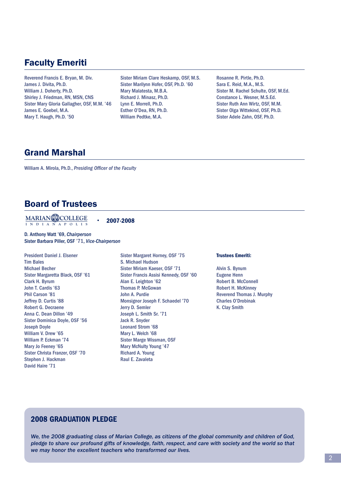# Faculty Emeriti

Reverend Francis E. Bryan, M. Div. James J. Divita, Ph.D. William J. Doherty, Ph.D. Shirley J. Friedman, RN, MSN, CNS Sister Mary Gloria Gallagher, OSF, M.M. '46 James E. Goebel, M.A. Mary T. Haugh, Ph.D. '50

Sister Miriam Clare Heskamp, OSF, M.S. Sister Marilynn Hofer, OSF, Ph.D. '60 Mary Malatesta, M.B.A. Richard J. Minasz, Ph.D. Lynn E. Morrell, Ph.D. Esther O'Dea, RN, Ph.D. William Pedtke, M.A.

Rosanne R. Pirtle, Ph.D. Sara E. Reid, M.A., M.S. Sister M. Rachel Schulte, OSF, M.Ed. Constance L. Wesner, M.S.Ed. Sister Ruth Ann Wirtz, OSF, M.M. Sister Olga Wittekind, OSF, Ph.D. Sister Adele Zahn, OSF, Ph.D.

# Grand Marshal

William A. Mirola, Ph.D., *Presiding Officer of the Faculty* 

# Board of Trustees

**INDIANAPOLIS MARIAN COLLEGE**

**2007-2008**

D. Anthony Watt '69, *Chairperson* Sister Barbara Piller, OSF '71, *Vice-Chairperson*

President Daniel J. Elsener Tim Bales Michael Becher Sister Margaretta Black, OSF '61 Clark H. Byrum John T. Cardis '63 Phil Carson '81 Jeffrey D. Curtis '88 Robert G. Decraene Anna C. Dean Dillon '49 Sister Dominica Doyle, OSF '56 Joseph Doyle William V. Drew '65 William P. Eckman '74 Mary Jo Feeney '65 Sister Christa Franzer, OSF '70 Stephen J. Hackman David Haire '71

Sister Margaret Horney, OSF '75 S. Michael Hudson Sister Miriam Kaeser, OSF '71 Sister Francis Assisi Kennedy, OSF '60 Alan E. Leighton '62 **Thomas P. McGowan** John A. Purdie Monsignor Joseph F. Schaedel '70 Jerry D. Semler Joseph L. Smith Sr. '71 Jack R. Snyder Leonard Strom '68 Mary L. Welch '68 Sister Marge Wissman, OSF Mary McNulty Young '47 Richard A. Young Raul E. Zavaleta

#### **Trustees Emeriti:**

Alvin S. Bynum Eugene Henn Robert B. McConnell Robert H. McKinney Reverend Thomas J. Murphy Charles O'Drobinak K. Clay Smith

# **2008 GRADUATION PLEDGE**

*We, the 2008 graduating class of Marian College, as citizens of the global community and children of God, pledge to share our profound gifts of knowledge, faith, respect, and care with society and the world so that we may honor the excellent teachers who transformed our lives.*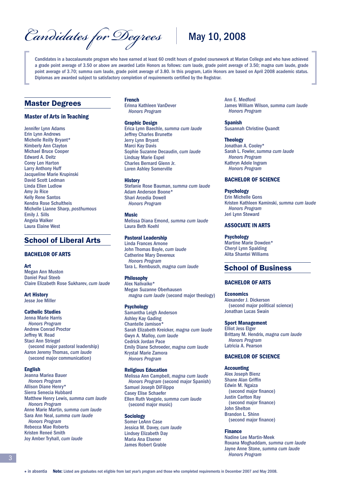Candidates for Degrees<sup>\</sup>\\ May 10, 2008

Candidates in a baccalaureate program who have earned at least 60 credit hours of graded coursework at Marian College and who have achieved a grade point average of 3.50 or above are awarded Latin Honors as follows: cum laude, grade point average of 3.50; magna cum laude, grade point average of 3.70; summa cum laude, grade point average of 3.80. In this program, Latin Honors are based on April 2008 academic status. Diplomas are awarded subject to satisfactory completion of requirements certified by the Registrar.

### Master Degrees

### **Master of Arts in Teaching**

Jennifer Lynn Adams Erin Lynn Andrews Michelle Reilly Bryant\* Kimberly Ann Clayton Michael Bruce Cooper Edward A. Deitz Corey Len Harton Larry Anthony Huff Jacqueline Marie Krupinski David Scott Ledman Linda Ellen Ludlow Amy Jo Rice Kelly Rene Santos Kendra Rose Schultheis Michelle Lianne Sharp, *posthumous* Emily J. Sills Angela Walker Laura Elaine West

# School of Liberal Arts

### **BACHELOR OF ARTS**

#### **Art**

Megan Ann Muston Daniel Paul Steeb Claire Elizabeth Rose Sukharev, *cum laude*

**Art History** Jesse Joe Miller

#### **Catholic Studies**

Jenna Marie Harris  *Honors Program* Andrew Conrad Proctor Jeffrey W. Read Staci Ann Striegel (second major pastoral leadership) Aaron Jeremy Thomas, *cum laude* (second major communication)

#### **English**

Jeanna Mariea Bauer  *Honors Program* Allison Diane Henry\* Sierra Senecia Hubbard Matthew Henry Lewis, *summa cum laude Honors Program* Anne Marie Martin, *summa cum laude* Sara Ann Neal, *summa cum laude Honors Program* Rebecca Mae Roberts Kristen Reneé Smith Joy Amber Tryhall, *cum laude*

**French** Erinna Kathleen VanDever  *Honors Program*

#### **Graphic Design**

Erica Lynn Baechle, *summa cum laude* Jeffrey Charles Brunette Jerry Lynn Bryant Marci Kay Davis Sophie Suzanne Decaudin, *cum laude* Lindsay Marie Espel Charles Bernard Glenn Jr. Loren Ashley Somerville

#### **History**

Stefanie Rose Bauman, *summa cum laude* Adam Anderson Boone\* Shari Arcedia Dowell  *Honors Program*

#### **Music**

Melissa Diana Emond, *summa cum laude* Laura Beth Koehl

#### **Pastoral Leadership**

Linda Frances Arnone John Thomas Boyle, *cum laude* Catherine Mary Devereux  *Honors Program* Tara L. Rembusch, *magna cum laude*

#### **Philosophy**

Alex Nalivaiko\* Megan Suzanne Oberhausen *magna cum laude* (second major theology)

#### **Psychology**

Samantha Leigh Anderson Ashley Kay Gading Chantelle Jamison\* Sarah Elizabeth Kreicker, *magna cum laude* Gwyn A. Malloy, *cum laude* Cedrick Jordan Pace Emily Diane Schroeder, *magna cum laude* Krystal Marie Zamora  *Honors Program*

#### **Religious Education**

Melissa Ann Campbell, *magna cum laude Honors Program* (second major Spanish) Samuel Joseph DiFilippo Casey Elise Schaefer Ellen Ruth Voegele, *summa cum laude* (second major music)

#### **Sociology** Somer LeAnn Case Jessica M. Davey, *cum laude* Lindsey Elizabeth Day Maria Ana Elsener James Robert Grable

Ann E. Medford James William Wilson, *summa cum laude Honors Program*

**Spanish** Susannah Christine Quandt

#### **Theology**

Jonathan A. Cooley\* Sarah L. Fowler, *summa cum laude Honors Program* Kathryn Adele Ingram  *Honors Program*

#### **BACHELOR OF SCIENCE**

#### **Psychology**

Erin Michelle Gons Kristen Kathleen Kaminski, *summa cum laude Honors Program* Jeri Lynn Steward

#### **ASSOCIATE IN ARTS**

**Psychology**

Martine Marie Dowden\* Cheryl Lynn Spalding Alita Shantei Williams

# School of Business

#### **BACHELOR OF ARTS**

**Economics**

Alexander J. Dickerson (second major political science) Jonathan Lucas Swain

#### **Sport Management**

Elliot Jess Elger Brittany M. Hendrix, *magna cum laude Honors Program* Latricia A. Pearson

## **BACHELOR OF SCIENCE**

#### **Accounting**

Alex Joseph Bienz **Shane Alan Griffin** Edwin M. Ngaiza (second major finance) Justin Carlton Ray (second major finance) John Shelton Brandon L. Shinn (second major finance)

#### **Finance**

Nadine Lee Martin-Meek Roxana Moghaddam, *summa cum laude* Jayne Anne Stone, *summa cum laude Honors Program*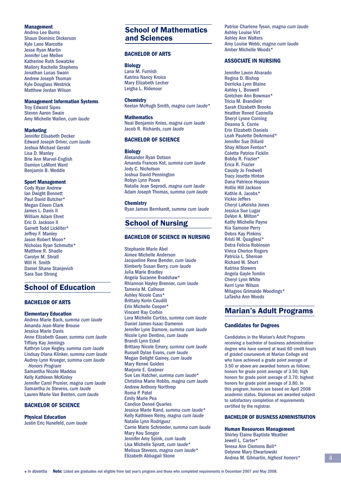#### **Management**

Andrea Lee Burns Shaun Dominic Dickerson Kyle Lane Marcotte Jesse Ryan Martin Jennifer Lee Mellen Katherine Ruth Sowatzke Mallory Rachelle Stephens Jonathan Lucas Swain Andrew Joseph Thoman Kyle Douglass Westrick Matthew Jordan Wilson

#### **Management Information Systems**

Troy Edward Sipes Steven Aaron Swain Amy Michelle Wallen, *cum laude*

#### **Marketing**

Jennifer Elisabeth Decker Edward Joseph Driver, *cum laude* Joshua Michael Gerald Lisa D. Manley Brie Ann Marvel-English Damion LaMont Ward Benjamin B. Weddle

#### **Sport Management**

Cody Ryan Andrew Ian Dwight Bennett Paul David Butcher\* Megan Eileen Clark James L. Davis II William Adam Ehret Eric D. Jackson II Garrett Todd Lickliter\* Jeffrey F. Manley Jason Robert Moon\* Nicholas Ryan Schmutte\* Matthew R. Shadle Carolyn M. Shrall Will H. Smith Daniel Shane Stanjevich Sara Sue Strong

# School of Education

#### **BACHELOR OF ARTS**

### **Elementary Education**

Andrea Marie Back, *summa cum laude* Amanda Jean-Marie Brouse Jessica Marie Davis Anne Elizabeth Gauer, *summa cum laude* Tiffany Kay Jennings Kathryn Loye Kegley, *summa cum laude* Lindsay Diana Klinker, *summa cum laude* Audrey Lynn Krueger, *summa cum laude Honors Program* Samantha Nicole Maddox Kelly Kathleen McKinley Jennifer Carol Prunier, *magna cum laude* Samantha Jo Stevens, *cum laude* Lauren Marie Van Benten, *cum laude*

### **BACHELOR OF SCIENCE**

**Physical Education** Justin Eric Hunefeld, *cum laude*

# School of Mathematics and Sciences

#### **BACHELOR OF ARTS**

**Biology** Lana M. Furnish Katrina Nancy Kroics Mary Elizabeth Lecher Leigha L. Ridenour

#### **Chemistry**

Keelan McHugh Smith, *magna cum laude*\*

#### **Mathematics** Neal Benjamin Knies, *magna cum laude* Jacob R. Richards, *cum laude*

#### **BACHELOR OF SCIENCE**

**Biology**

Alexander Ryan Dotson Amanda Frances Kot, *summa cum laude* Jody C. Nicholson Joshua David Pennington Robyn Lynn Poore Natalie Jean Seprodi, *magna cum laude* Adam Joseph Thomas, *summa cum laude*

#### **Chemistry**

Ryan James Bernhardt, *summa cum laude*

### School of Nursing

#### **BACHELOR OF SCIENCE IN NURSING**

Stephanie Marie Abel Aimee Michelle Anderson Jacqueline Rene Bender, *cum laude* Kimberly Susan Berry, *cum laude* Julia Marie Bradley Angela Suzanne Bradshaw\* Rhiannon Hayley Brenner, *cum laude* Tameria M. Calhoun Ashley Nicole Cass\* Brittany Korin Caudill Erin Michelle Cooper\* Vincent Ray Corbin Lora Michelle Curtiss, *summa cum laude* Daniel James-Isaac Dameron Jennifer Lynn Damore, *summa cum laude* Nicole Lynn Dentino, *cum laude* Brandi Lynn Eckel Brittany Nicole Emery, *summa cum laude* Russell Dylan Evans, *cum laude* Megan Delight Gainey, *cum laude* Mary Reneé Golden Marjorie E. Grabner Sue Lex Hatcher, *summa cum laude*\* Christina Marie Hobbs, *magna cum laude* Andrew Anthony Northrop Roma P. Patel Emily Marie Pea Candice Deneé Quarles Jessica Marie Rand, *summa cum laude*\* Kelly Kathleen Remy, *magna cum laude* Natalie Lynn Rodriguez Carrie Marie Schroeder, *summa cum laude* Mary Kou Songor Jennifer Amy Spink, *cum laude* Lisa Michelle Spratt, *cum laude*\* Melissa Stevens, *magna cum laude*\* Elizabeth Abbagail Stone

Patrise Charlene Tyson, *magna cum laude* Ashley Louise Virt Ashley Ann Walters Amy Louise Webb, *magna cum laude* Amber Michelle Woods\*

#### **ASSOCIATE IN NURSING**

Jennifer Lavon Alvarado Regina D. Bishop Derricka Lynn Blaine Ashley L. Boswell Gretchen Ann Bowman\* Tricia M. Brandlein Sarah Elizabeth Brooks Heather Reneé Cannella Sheryl Lynne Corning Deanna S. Corrie Erin Elizabeth Daniels Leah Paulette DeArmond\* Jennifer Sue Dillard Shay Allison Fenton\* Colette Patrice Ficklin Bobby R. Frazier\* Erica R. Frazier Cassity Jo Fredwell Tracy Josette Hinton Dana Patriece Hopson Hollie Hill Jackson Kathie A. Jacobs\* Vickie Jeffers Cheryl LaKeisha Jones Jessica Sue Lugar DeVon A. Milton\* Kathy Michelle Payne Kia Samone Perry Debra Kay Pinkins Kristi M. Quagliesi\* Detra Felicia Robinson Vivica Cherice Rogers Patricia L. Sheroan Richard W. Short Katrina Stowers Angela Gayle Tomlin Cheryl Lynn White Kerri Lynn Wilson Milagros Grimaldo Woodings\* LaTasha Ann Woods

### Marian's Adult Programs

#### **Candidates for Degrees**

Candidates in the Marian's Adult Programs receiving a bachelor of business administration degree who have earned at least 60 credit hours of graded coursework at Marian College and who have achieved a grade point average of 3.50 or above are awarded honors as follows: honors for grade point average of 3.50; high honors for grade point average of 3.70; highest honors for grade point average of 3.80. In this program, honors are based on April 2008 academic status. Diplomas are awarded subject to satisfactory completion of requirements certified by the registrar.

#### **BACHELOR OF BUSINESS ADMINISTRATION**

**Human Resources Management** Shirley Elaine Baptiste Weather Jewell L. Carter\* Teresa Ann Clemons Bell\* Delynne Mary Elwartowski Andrea M. Gilmartin, *highest honors*\*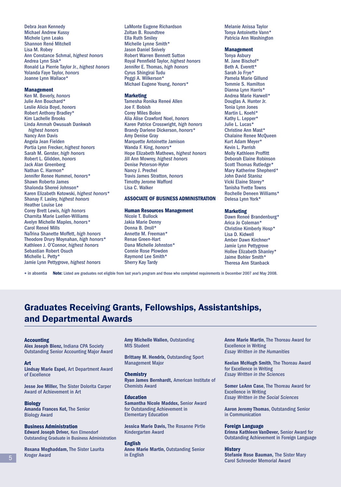Debra Jean Kennedy Michael Andrew Kussy Michele Lynn Leaks Shannon René Mitchell Lisa M. Robey Ann Constance Schmal, *highest honors* Andrea Lynn Sisk\* Ronald La Pierrie Taylor Jr., *highest honors* Yolanda Faye Taylor, *honors* Joanne Lynn Wallace\*

#### **Management**

Ken M. Beverly, *honors* Julie Ann Bouchard\* Leslie Alicia Boyd, *honors* Robert Anthony Bradley\* Kim Lachelle Brooks Linda Ammah Owusuah Dankwah *highest honors* Nancy Ann Davis Angela Jean Fielden Portia Lynn Frecker, *highest honors* Sarah M. Gerster, *high honors* Robert L. Glidden, *honors* Jack Alan Greenberg Nathan C. Harmon\* Jennifer Renee Hummel, *honors*\* Shawn Roberto James Shalonda Shereé Johnson\* Karen Elizabeth Kotowski, *highest honors*\* Shanay F. Lasley, *highest honors* Heather Louise Lee Corey Brett Lewis, *high honors* Charnita Marie Luellen-Williams Avelyn Michelle Maples, *honors\** Carol Reneé Mills NaTrina Shanette Moffett, *high honors* Theodore Drury Moynahan, *high honors*\* Kathleen J. O'Connor, *highest honors* Sebastian Robert Osuch Michelle L. Petty\* Jamie Lynn Pettygrove, *highest honors*

LaMonte Eugene Richardson Zoltan B. Roundtree Ella Ruth Smiley Michelle Lynne Smith\* Jason Daniel Snively Robert Warren Bennett Sutton Royal Pennfield Taylor, *highest honors* Jennifer E. Thomas, *high honors* Cyrus Shingirai Tudu Peggi A. Wilkerson\* Michael Eugene Young, *honors*\*

#### **Marketing**

Tamesha Ronika Reneé Allen Joe F. Bobish Corey Miles Bolon Alia Alise Crawford Noel, *honors* Karen Patrice Crosswright, *high honors* Brandy Darlene Dickerson, *honors*\* Amy Denise Gray Marquette Antoinette Jamison Wanda F. King, *honors*\* Hope Elizabeth Mathews, *highest honors* Jill Ann Mowrey, *highest honors* Denise Peterson-Hyter Nancy J. Prechel Travis James Stratton, *honors* Timothy Jerome Wafford Lisa C. Walker

#### **ASSOCIATE OF BUSINESS ADMINISTRATION**

#### **Human Resources Management**

Nicole T. Bullock Jakia Marie Denny Donna B. Droll\* Annette M. Freeman\* Renae Green-Hart Dana Michelle Johnston\* Connie Rose Plowden Raymond Lee Smith\* Sherry Kay Tardy

Melanie Anissa Taylor Tonya Antoinette Vann\* Patricia Ann Washington

#### **Management**

Tonya Asbury M. Jane Bischof\* Beth A. Everett\* Sarah Jo Frye\* Pamela Marie Gillund Tommie S. Hamilton Dianna Lynn Harris\* Andrea Marie Harwell\* Douglas A. Hunter Jr. Tonia Lynn Jones Martin L. Koehl\* Kathy L. Lepper\* Julie L. Lucas\* Christine Ann Mast\* Chalaine Renee McQueen Kurt Adam Meyer\* Kevin L. Parrish **Molly Kathleen Proffitt** Deborah Elaine Robinson Scott Thomas Rutledge\* Mary Katherine Shepherd\* John David Stanisz Vicki Elaine Storey\* Tanisha Yvette Towns Rochelle Deneen Williams\* Delesa Lynn York\*

#### **Marketing**

Dawn Reneé Brandenburg\* Arica Jo Coleman\* Christine Kimberly Hosp\* Lisa D. Kidwell Amber Dawn Kirchner\* Jamie Lynn Pettygrove Hollee Elizabeth Shanley\* Jaime Bohler Smith\* Theresa Ann Stanback

in absentia **Note:** Listed are graduates not eligible from last year's program and those who completed requirements in December 2007 and May 2008.

# Graduates Receiving Grants, Fellowships, Assistantships, and Departmental Awards

#### **Accounting**

**Alex Joseph Bienz,** Indiana CPA Society Outstanding Senior Accounting Major Award

#### **Art**

**Lindsay Marie Espel,** Art Department Award of Excellence

**Jesse Joe Miller,** The Sister Dolorita Carper Award of Achievement in Art

#### **Biology**

**Amanda Frances Kot,** The Senior Biology Award

#### **Business Administration**

**Edward Joseph Driver,** Ken Elmendorf Outstanding Graduate in Business Administration

**Roxana Moghaddam,** The Sister Laurita Kroger Award

**Amy Michelle Wallen,** Outstanding MIS Student

**Brittany M. Hendrix,** Outstanding Sport Management Major

#### **Chemistry Ryan James Bernhardt,** American Institute of Chemists Award

**Education Samantha Nicole Maddox,** Senior Award for Outstanding Achievement in Elementary Education

**Jessica Marie Davis,** The Rosanne Pirtle Kindergarten Award

#### **English**

**Anne Marie Martin,** Outstanding Senior in English

**Anne Marie Martin**, The Thoreau Award for Excellence in Writing *Essay Written in the Humanities*

**Keelan McHugh Smith**, The Thoreau Award for Excellence in Writing *Essay Written in the Sciences*

**Somer LeAnn Case**, The Thoreau Award for Excellence in Writing *Essay Written in the Social Sciences*

**Aaron Jeremy Thomas**, Outstanding Senior in Communication

#### **Foreign Language**

**Erinna Kathleen VanDever,** Senior Award for Outstanding Achievement in Foreign Language

#### **History**

**Stefanie Rose Bauman,** The Sister Mary Carol Schroeder Memorial Award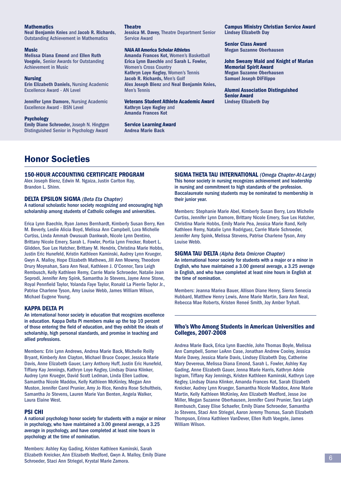#### **Mathematics**

**Neal Benjamin Knies** and **Jacob R. Richards**, Outstanding Achievement in Mathematics

#### **Music**

**Melissa Diana Emond** and **Ellen Ruth Voegele,** Senior Awards for Outstanding Achievement in Music

#### **Nursing**

**Erin Elizabeth Daniels,** Nursing Academic Excellence Award - AN Level

**Jennifer Lynn Damore,** Nursing Academic Excellence Award - BSN Level

#### **Psychology**

**Emily Diane Schroeder,** Joseph N. Hingtgen Distinguished Senior in Psychology Award

#### **Theatre**

**Jessica M. Davey,** Theatre Department Senior Service Award

#### **NAIA All America Scholar Athletes**

**Amanda Frances Kot,** Women's Basketball **Erica Lynn Baechle** and **Sarah L. Fowler,**  Women's Cross Country **Kathryn Loye Kegley,** Women's Tennis **Jacob R. Richards,** Men's Golf **Alex Joseph Bienz** and **Neal Benjamin Knies,**  Men's Tennis

#### **Veterans Student Athlete Academic Award Kathryn Loye Kegley** and **Amanda Frances Kot**

**Service Learning Award Andrea Marie Back**

**Campus Ministry Christian Service Award Lindsey Elizabeth Day**

**Senior Class Award Megan Suzanne Oberhausen**

**John Sweany Maid and Knight of Marian Memorial Spirit Award Megan Suzanne Oberhausen Samuel Joseph DiFilippo**

**Alumni Association Distinguished Senior Award Lindsey Elizabeth Day**

# Honor Societies

#### **150-HOUR ACCOUNTING CERTIFICATE PROGRAM**

Alex Joseph Bienz, Edwin M. Ngaiza, Justin Carlton Ray, Brandon L. Shinn.

#### **DELTA EPSILON SIGMA** *(Beta Eta Chapter)*

A national scholastic honor society recognizing and encouraging high scholarship among students of Catholic colleges and universities.

Erica Lynn Baechle, Ryan James Bernhardt, Kimberly Susan Berry, Ken M. Beverly, Leslie Alicia Boyd, Melissa Ann Campbell, Lora Michelle Curtiss, Linda Ammah Owusuah Dankwah, Nicole Lynn Dentino, Brittany Nicole Emery, Sarah L. Fowler, Portia Lynn Frecker, Robert L. Glidden, Sue Lex Hatcher, Brittany M. Hendrix, Christina Marie Hobbs, Justin Eric Hunefeld, Kristin Kathleen Kaminski, Audrey Lynn Krueger, Gwyn A. Malloy, Hope Elizabeth Mathews, Jill Ann Mowrey, Theodore Drury Moynahan, Sara Ann Neal, Kathleen J. O'Connor, Tara Leigh Rembusch, Kelly Kathleen Remy, Carrie Marie Schroeder, Natalie Jean Seprodi, Jennifer Amy Spink, Samantha Jo Stevens, Jayne Anne Stone, Royal Pennfield Taylor, Yolanda Faye Taylor, Ronald La Pierrie Taylor Jr., Patrise Charlene Tyson, Amy Louise Webb, James William Wilson, Michael Eugene Young.

#### **KAPPA DELTA PI**

An international honor society in education that recognizes excellence in education. Kappa Delta Pi members make up the top 10 percent of those entering the field of education, and they exhibit the ideals of scholarship, high personal standards, and promise in teaching and allied professions.

Members: Erin Lynn Andrews, Andrea Marie Back, Michelle Reilly Bryant, Kimberly Ann Clayton, Michael Bruce Cooper, Jessica Marie Davis, Anne Elizabeth Gauer, Larry Anthony Huff, Justin Eric Hunefeld, Tiffany Kay Jennings, Kathryn Loye Kegley, Lindsay Diana Klinker, Audrey Lynn Krueger, David Scott Ledman, Linda Ellen Ludlow, Samantha Nicole Maddox, Kelly Kathleen McKinley, Megan Ann Muston, Jennifer Carol Prunier, Amy Jo Rice, Kendra Rose Schultheis, Samantha Jo Stevens, Lauren Marie Van Benten, Angela Walker, Laura Elaine West.

#### **PSI CHI**

A national psychology honor society for students with a major or minor in psychology, who have maintained a 3.00 general average, a 3.25 average in psychology, and have completed at least nine hours in psychology at the time of nomination.

Members: Ashley Kay Gading, Kristen Kathleen Kaminski, Sarah Elizabeth Kreicker, Ann Elizabeth Medford, Gwyn A. Malloy, Emily Diane Schroeder, Staci Ann Striegel, Krystal Marie Zamora.

**SIGMA THETA TAU INTERNATIONAL** *(Omega Chapter-At-Large)*  This honor society in nursing recognizes achievement and leadership in nursing and commitment to high standards of the profession. Baccalaureate nursing students may be nominated to membership in their junior year.

Members: Stephanie Marie Abel, Kimberly Susan Berry, Lora Michelle Curtiss, Jennifer Lynn Damore, Brittany Nicole Emery, Sue Lex Hatcher, Christina Marie Hobbs, Emily Marie Pea, Jessica Marie Rand, Kelly Kathleen Remy, Natalie Lynn Rodriguez, Carrie Marie Schroeder, Jennifer Amy Spink, Melissa Stevens, Patrise Charlene Tyson, Amy Louise Webb.

**SIGMA TAU DELTA** *(Alpha Beta Omicron Chapter)* An international honor society for students with a major or a minor in English, who have maintained a 3.00 general average, a 3.25 average in English, and who have completed at least nine hours in English at the time of nomination.

Members: Jeanna Mariea Bauer, Allison Diane Henry, Sierra Senecia Hubbard, Matthew Henry Lewis, Anne Marie Martin, Sara Ann Neal, Rebecca Mae Roberts, Kristen Reneé Smith, Joy Amber Tryhall.

#### **Who's Who Among Students in American Universities and Colleges, 2007-2008**

Andrea Marie Back, Erica Lynn Baechle, John Thomas Boyle, Melissa Ann Campbell, Somer LeAnn Case, Jonathan Andrew Cooley, Jessica Marie Davey, Jessica Marie Davis, Lindsey Elizabeth Day, Catherine Mary Devereux, Melissa Diana Emond, Sarah L. Fowler, Ashley Kay Gading, Anne Elizabeth Gauer, Jenna Marie Harris, Kathryn Adele Ingram, Tiffany Kay Jennings, Kristen Kathleen Kaminski, Kathryn Loye Kegley, Lindsay Diana Klinker, Amanda Frances Kot, Sarah Elizabeth Kreicker, Audrey Lynn Krueger, Samantha Nicole Maddox, Anne Marie Martin, Kelly Kathleen McKinley, Ann Elizabeth Medford, Jesse Joe Miller, Megan Suzanne Oberhausen, Jennifer Carol Prunier, Tara Leigh Rembusch, Casey Elise Schaefer, Emily Diane Schroeder, Samantha Jo Stevens, Staci Ann Striegel, Aaron Jeremy Thomas, Sarah Elizabeth Thompson, Erinna Kathleen VanDever, Ellen Ruth Voegele, James William Wilson.